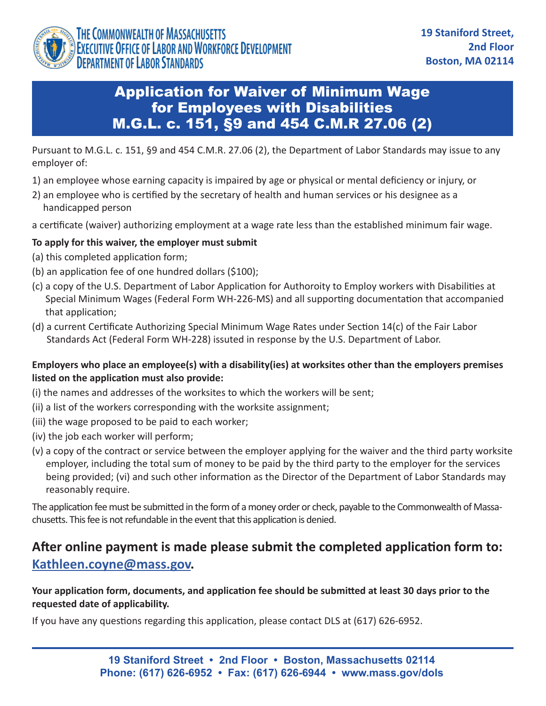

## Application for Waiver of Minimum Wage for Employees with Disabilities M.G.L. c. 151, §9 and 454 C.M.R 27.06 (2)

Pursuant to M.G.L. c. 151, §9 and 454 C.M.R. 27.06 (2), the Department of Labor Standards may issue to any employer of:

- 1) an employee whose earning capacity is impaired by age or physical or mental deficiency or injury, or
- 2) an employee who is certified by the secretary of health and human services or his designee as a handicapped person
- a certificate (waiver) authorizing employment at a wage rate less than the established minimum fair wage.

#### **To apply for this waiver, the employer must submit**

- (a) this completed application form;
- (b) an application fee of one hundred dollars (\$100);
- (c) a copy of the U.S. Department of Labor Application for Authoroity to Employ workers with Disabilities at Special Minimum Wages (Federal Form WH-226-MS) and all supporting documentation that accompanied that application;
- (d) a current Certificate Authorizing Special Minimum Wage Rates under Section 14(c) of the Fair Labor Standards Act (Federal Form WH-228) issuted in response by the U.S. Department of Labor.

#### **Employers who place an employee(s) with a disability(ies) at worksites other than the employers premises listed on the application must also provide:**

- (i) the names and addresses of the worksites to which the workers will be sent;
- (ii) a list of the workers corresponding with the worksite assignment;
- (iii) the wage proposed to be paid to each worker;
- (iv) the job each worker will perform;
- (v) a copy of the contract or service between the employer applying for the waiver and the third party worksite employer, including the total sum of money to be paid by the third party to the employer for the services being provided; (vi) and such other information as the Director of the Department of Labor Standards may reasonably require.

The application fee must be submitted in the form of a money order or check, payable to the Commonwealth of Massachusetts. This fee is not refundable in the event that this application is denied.

# **After online payment is made please submit the completed application form to: [Kathleen.coyne@mass.gov.](mailto:Kathleen.coyne@mass.gov)**

**Your application form, documents, and application fee should be submitted at least 30 days prior to the requested date of applicability.**

If you have any questions regarding this application, please contact DLS at (617) 626-6952.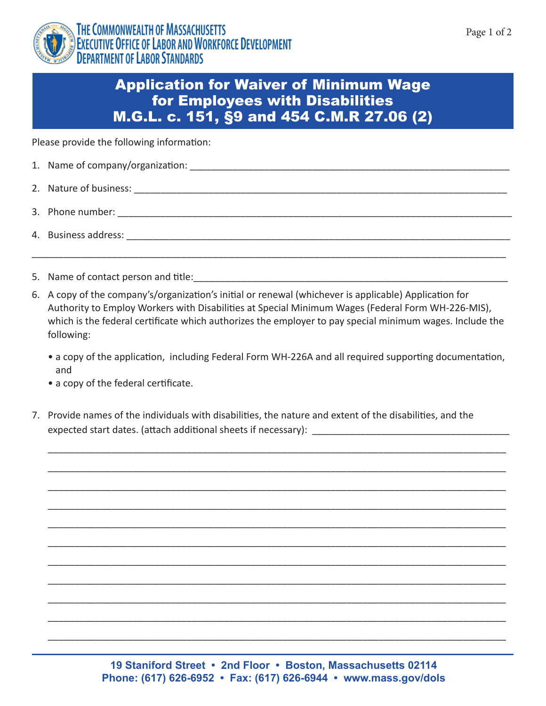



## Application for Waiver of Minimum Wage for Employees with Disabilities M.G.L. c. 151, §9 and 454 C.M.R 27.06 (2)

Please provide the following information:

| 1. Name of company/organization: |  |
|----------------------------------|--|
|----------------------------------|--|

- 2. Nature of business: \_\_\_\_\_\_\_\_\_\_\_\_\_\_\_\_\_\_\_\_\_\_\_\_\_\_\_\_\_\_\_\_\_\_\_\_\_\_\_\_\_\_\_\_\_\_\_\_\_\_\_\_\_\_\_\_\_\_\_\_\_\_\_\_\_\_\_\_\_\_
- 3. Phone number: \_\_\_\_\_\_\_\_\_\_\_\_\_\_\_\_\_\_\_\_\_\_\_\_\_\_\_\_\_\_\_\_\_\_\_\_\_\_\_\_\_\_\_\_\_\_\_\_\_\_\_\_\_\_\_\_\_\_\_\_\_\_\_\_\_\_\_\_\_\_\_\_\_\_
- 4. Business address: \_\_\_\_\_\_\_\_\_\_\_\_\_\_\_\_\_\_\_\_\_\_\_\_\_\_\_\_\_\_\_\_\_\_\_\_\_\_\_\_\_\_\_\_\_\_\_\_\_\_\_\_\_\_\_\_\_\_\_\_\_\_\_\_\_\_\_\_\_\_\_\_
- 5. Name of contact person and title:
- 6. A copy of the company's/organization's initial or renewal (whichever is applicable) Application for Authority to Employ Workers with Disabilities at Special Minimum Wages (Federal Form WH-226-MIS), which is the federal certificate which authorizes the employer to pay special minimum wages. Include the following:

\_\_\_\_\_\_\_\_\_\_\_\_\_\_\_\_\_\_\_\_\_\_\_\_\_\_\_\_\_\_\_\_\_\_\_\_\_\_\_\_\_\_\_\_\_\_\_\_\_\_\_\_\_\_\_\_\_\_\_\_\_\_\_\_\_\_\_\_\_\_\_\_\_\_\_\_\_\_\_\_\_\_\_\_\_\_\_\_\_

• a copy of the application, including Federal Form WH-226A and all required supporting documentation, and

\_\_\_\_\_\_\_\_\_\_\_\_\_\_\_\_\_\_\_\_\_\_\_\_\_\_\_\_\_\_\_\_\_\_\_\_\_\_\_\_\_\_\_\_\_\_\_\_\_\_\_\_\_\_\_\_\_\_\_\_\_\_\_\_\_\_\_\_\_\_\_\_\_\_\_\_\_\_\_\_\_\_\_\_\_\_

\_\_\_\_\_\_\_\_\_\_\_\_\_\_\_\_\_\_\_\_\_\_\_\_\_\_\_\_\_\_\_\_\_\_\_\_\_\_\_\_\_\_\_\_\_\_\_\_\_\_\_\_\_\_\_\_\_\_\_\_\_\_\_\_\_\_\_\_\_\_\_\_\_\_\_\_\_\_\_\_\_\_\_\_\_\_

\_\_\_\_\_\_\_\_\_\_\_\_\_\_\_\_\_\_\_\_\_\_\_\_\_\_\_\_\_\_\_\_\_\_\_\_\_\_\_\_\_\_\_\_\_\_\_\_\_\_\_\_\_\_\_\_\_\_\_\_\_\_\_\_\_\_\_\_\_\_\_\_\_\_\_\_\_\_\_\_\_\_\_\_\_\_

\_\_\_\_\_\_\_\_\_\_\_\_\_\_\_\_\_\_\_\_\_\_\_\_\_\_\_\_\_\_\_\_\_\_\_\_\_\_\_\_\_\_\_\_\_\_\_\_\_\_\_\_\_\_\_\_\_\_\_\_\_\_\_\_\_\_\_\_\_\_\_\_\_\_\_\_\_\_\_\_\_\_\_\_\_\_

\_\_\_\_\_\_\_\_\_\_\_\_\_\_\_\_\_\_\_\_\_\_\_\_\_\_\_\_\_\_\_\_\_\_\_\_\_\_\_\_\_\_\_\_\_\_\_\_\_\_\_\_\_\_\_\_\_\_\_\_\_\_\_\_\_\_\_\_\_\_\_\_\_\_\_\_\_\_\_\_\_\_\_\_\_\_

\_\_\_\_\_\_\_\_\_\_\_\_\_\_\_\_\_\_\_\_\_\_\_\_\_\_\_\_\_\_\_\_\_\_\_\_\_\_\_\_\_\_\_\_\_\_\_\_\_\_\_\_\_\_\_\_\_\_\_\_\_\_\_\_\_\_\_\_\_\_\_\_\_\_\_\_\_\_\_\_\_\_\_\_\_\_

\_\_\_\_\_\_\_\_\_\_\_\_\_\_\_\_\_\_\_\_\_\_\_\_\_\_\_\_\_\_\_\_\_\_\_\_\_\_\_\_\_\_\_\_\_\_\_\_\_\_\_\_\_\_\_\_\_\_\_\_\_\_\_\_\_\_\_\_\_\_\_\_\_\_\_\_\_\_\_\_\_\_\_\_\_\_

\_\_\_\_\_\_\_\_\_\_\_\_\_\_\_\_\_\_\_\_\_\_\_\_\_\_\_\_\_\_\_\_\_\_\_\_\_\_\_\_\_\_\_\_\_\_\_\_\_\_\_\_\_\_\_\_\_\_\_\_\_\_\_\_\_\_\_\_\_\_\_\_\_\_\_\_\_\_\_\_\_\_\_\_\_\_

\_\_\_\_\_\_\_\_\_\_\_\_\_\_\_\_\_\_\_\_\_\_\_\_\_\_\_\_\_\_\_\_\_\_\_\_\_\_\_\_\_\_\_\_\_\_\_\_\_\_\_\_\_\_\_\_\_\_\_\_\_\_\_\_\_\_\_\_\_\_\_\_\_\_\_\_\_\_\_\_\_\_\_\_\_\_

\_\_\_\_\_\_\_\_\_\_\_\_\_\_\_\_\_\_\_\_\_\_\_\_\_\_\_\_\_\_\_\_\_\_\_\_\_\_\_\_\_\_\_\_\_\_\_\_\_\_\_\_\_\_\_\_\_\_\_\_\_\_\_\_\_\_\_\_\_\_\_\_\_\_\_\_\_\_\_\_\_\_\_\_\_\_

\_\_\_\_\_\_\_\_\_\_\_\_\_\_\_\_\_\_\_\_\_\_\_\_\_\_\_\_\_\_\_\_\_\_\_\_\_\_\_\_\_\_\_\_\_\_\_\_\_\_\_\_\_\_\_\_\_\_\_\_\_\_\_\_\_\_\_\_\_\_\_\_\_\_\_\_\_\_\_\_\_\_\_\_\_\_

- a copy of the federal certificate.
- 7. Provide names of the individuals with disabilities, the nature and extent of the disabilities, and the expected start dates. (attach additional sheets if necessary): \_\_\_\_\_\_

**19 Staniford Street • 2nd Floor • Boston, Massachusetts 02114 Phone: (617) 626-6952 • Fax: (617) 626-6944 • www.mass.gov/dols**